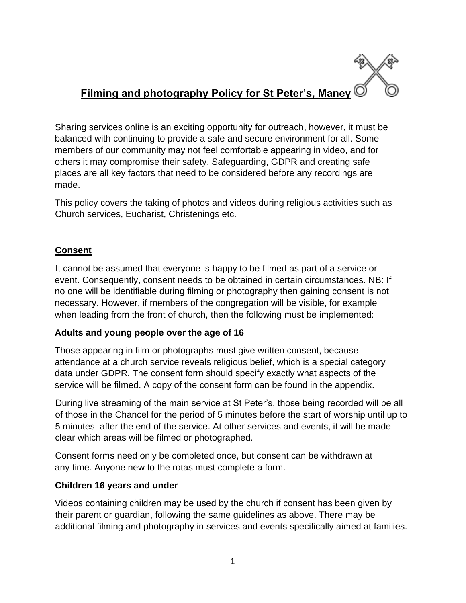# **Filming and photography Policy for St Peter's, Maney**

Sharing services online is an exciting opportunity for outreach, however, it must be balanced with continuing to provide a safe and secure environment for all. Some members of our community may not feel comfortable appearing in video, and for others it may compromise their safety. Safeguarding, GDPR and creating safe places are all key factors that need to be considered before any recordings are made.

This policy covers the taking of photos and videos during religious activities such as Church services, Eucharist, Christenings etc.

## **Consent**

It cannot be assumed that everyone is happy to be filmed as part of a service or event. Consequently, consent needs to be obtained in certain circumstances. NB: If no one will be identifiable during filming or photography then gaining consent is not necessary. However, if members of the congregation will be visible, for example when leading from the front of church, then the following must be implemented:

### **Adults and young people over the age of 16**

Those appearing in film or photographs must give written consent, because attendance at a church service reveals religious belief, which is a special category data under GDPR. The consent form should specify exactly what aspects of the service will be filmed. A copy of the consent form can be found in the appendix.

During live streaming of the main service at St Peter's, those being recorded will be all of those in the Chancel for the period of 5 minutes before the start of worship until up to 5 minutes after the end of the service. At other services and events, it will be made clear which areas will be filmed or photographed.

Consent forms need only be completed once, but consent can be withdrawn at any time. Anyone new to the rotas must complete a form.

### **Children 16 years and under**

Videos containing children may be used by the church if consent has been given by their parent or guardian, following the same guidelines as above. There may be additional filming and photography in services and events specifically aimed at families.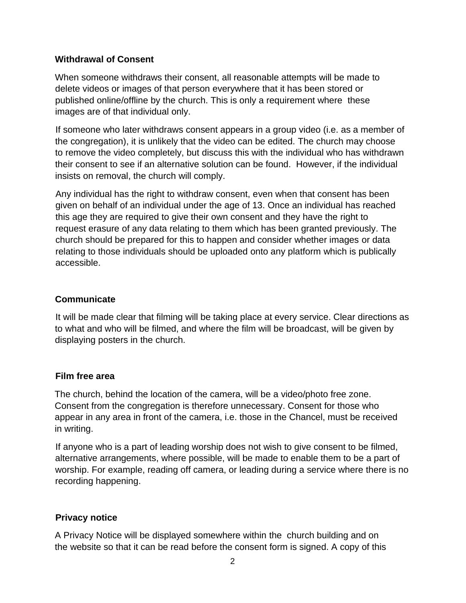#### **Withdrawal of Consent**

When someone withdraws their consent, all reasonable attempts will be made to delete videos or images of that person everywhere that it has been stored or published online/offline by the church. This is only a requirement where these images are of that individual only.

If someone who later withdraws consent appears in a group video (i.e. as a member of the congregation), it is unlikely that the video can be edited. The church may choose to remove the video completely, but discuss this with the individual who has withdrawn their consent to see if an alternative solution can be found. However, if the individual insists on removal, the church will comply.

Any individual has the right to withdraw consent, even when that consent has been given on behalf of an individual under the age of 13. Once an individual has reached this age they are required to give their own consent and they have the right to request erasure of any data relating to them which has been granted previously. The church should be prepared for this to happen and consider whether images or data relating to those individuals should be uploaded onto any platform which is publically accessible.

#### **Communicate**

It will be made clear that filming will be taking place at every service. Clear directions as to what and who will be filmed, and where the film will be broadcast, will be given by displaying posters in the church.

#### **Film free area**

The church, behind the location of the camera, will be a video/photo free zone. Consent from the congregation is therefore unnecessary. Consent for those who appear in any area in front of the camera, i.e. those in the Chancel, must be received in writing.

If anyone who is a part of leading worship does not wish to give consent to be filmed, alternative arrangements, where possible, will be made to enable them to be a part of worship. For example, reading off camera, or leading during a service where there is no recording happening.

#### **Privacy notice**

A Privacy Notice will be displayed somewhere within the church building and on the website so that it can be read before the consent form is signed. A copy of this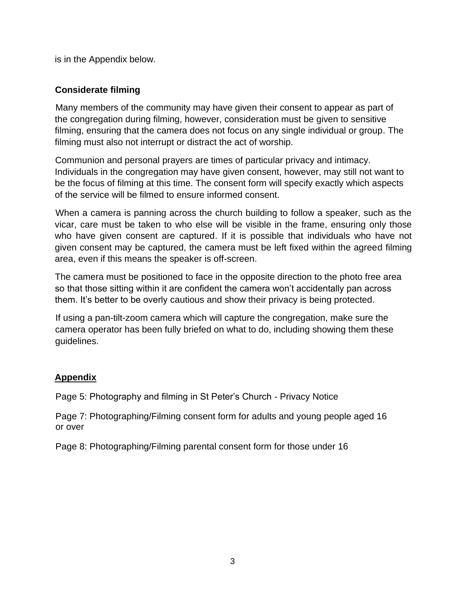is in the Appendix below.

#### **Considerate filming**

Many members of the community may have given their consent to appear as part of the congregation during filming, however, consideration must be given to sensitive filming, ensuring that the camera does not focus on any single individual or group. The filming must also not interrupt or distract the act of worship.

Communion and personal prayers are times of particular privacy and intimacy. Individuals in the congregation may have given consent, however, may still not want to be the focus of filming at this time. The consent form will specify exactly which aspects of the service will be filmed to ensure informed consent.

When a camera is panning across the church building to follow a speaker, such as the vicar, care must be taken to who else will be visible in the frame, ensuring only those who have given consent are captured. If it is possible that individuals who have not given consent may be captured, the camera must be left fixed within the agreed filming area, even if this means the speaker is off-screen.

The camera must be positioned to face in the opposite direction to the photo free area so that those sitting within it are confident the camera won't accidentally pan across them. It's better to be overly cautious and show their privacy is being protected.

If using a pan-tilt-zoom camera which will capture the congregation, make sure the camera operator has been fully briefed on what to do, including showing them these guidelines.

#### **Appendix**

Page 5: Photography and filming in St Peter's Church - Privacy Notice

Page 7: Photographing/Filming consent form for adults and young people aged 16 or over

Page 8: Photographing/Filming parental consent form for those under 16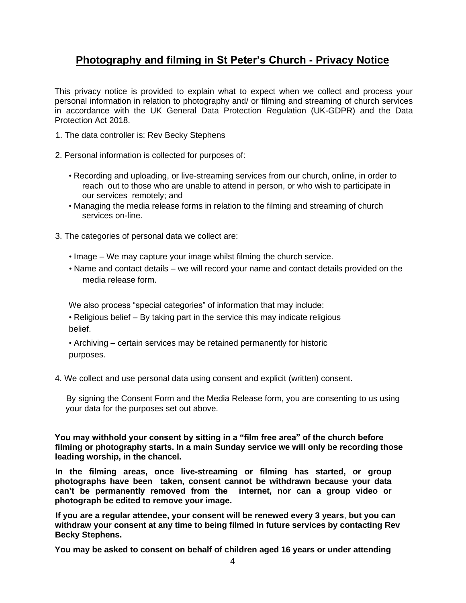## **Photography and filming in St Peter's Church - Privacy Notice**

This privacy notice is provided to explain what to expect when we collect and process your personal information in relation to photography and/ or filming and streaming of church services in accordance with the UK General Data Protection Regulation (UK-GDPR) and the Data Protection Act 2018.

- 1. The data controller is: Rev Becky Stephens
- 2. Personal information is collected for purposes of:
	- Recording and uploading, or live-streaming services from our church, online, in order to reach out to those who are unable to attend in person, or who wish to participate in our services remotely; and
	- Managing the media release forms in relation to the filming and streaming of church services on-line.
- 3. The categories of personal data we collect are:
	- Image We may capture your image whilst filming the church service.
	- Name and contact details we will record your name and contact details provided on the media release form.

We also process "special categories" of information that may include:

• Religious belief – By taking part in the service this may indicate religious belief.

• Archiving – certain services may be retained permanently for historic purposes.

4. We collect and use personal data using consent and explicit (written) consent.

By signing the Consent Form and the Media Release form, you are consenting to us using your data for the purposes set out above.

**You may withhold your consent by sitting in a "film free area" of the church before filming or photography starts. In a main Sunday service we will only be recording those leading worship, in the chancel.** 

**In the filming areas, once live-streaming or filming has started, or group photographs have been taken, consent cannot be withdrawn because your data can't be permanently removed from the internet, nor can a group video or photograph be edited to remove your image.** 

**If you are a regular attendee, your consent will be renewed every 3 years**, **but you can withdraw your consent at any time to being filmed in future services by contacting Rev Becky Stephens.** 

**You may be asked to consent on behalf of children aged 16 years or under attending**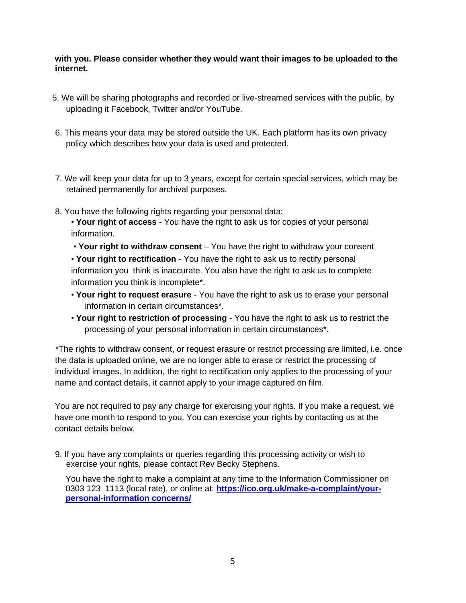#### **with you. Please consider whether they would want their images to be uploaded to the internet.**

- 5. We will be sharing photographs and recorded or live-streamed services with the public, by uploading it Facebook, Twitter and/or YouTube.
- 6. This means your data may be stored outside the UK. Each platform has its own privacy policy which describes how your data is used and protected.
- 7. We will keep your data for up to 3 years, except for certain special services, which may be retained permanently for archival purposes.
- 8. You have the following rights regarding your personal data:
	- **Your right of access**  You have the right to ask us for copies of your personal information.

• **Your right to withdraw consent** – You have the right to withdraw your consent • **Your right to rectification** - You have the right to ask us to rectify personal information you think is inaccurate. You also have the right to ask us to complete information you think is incomplete\*.

- **Your right to request erasure**  You have the right to ask us to erase your personal information in certain circumstances\*.
- **Your right to restriction of processing**  You have the right to ask us to restrict the processing of your personal information in certain circumstances\*.

\*The rights to withdraw consent, or request erasure or restrict processing are limited, i.e. once the data is uploaded online, we are no longer able to erase or restrict the processing of individual images. In addition, the right to rectification only applies to the processing of your name and contact details, it cannot apply to your image captured on film.

You are not required to pay any charge for exercising your rights. If you make a request, we have one month to respond to you. You can exercise your rights by contacting us at the contact details below.

9. If you have any complaints or queries regarding this processing activity or wish to exercise your rights, please contact Rev Becky Stephens.

You have the right to make a complaint at any time to the Information Commissioner on 0303 123 1113 (local rate), or online at: **[https://ico.org.uk/make-a-complaint/your](https://ico.org.uk/make-a-complaint/your-personal-information%20concerns/)[personal-information concerns/](https://ico.org.uk/make-a-complaint/your-personal-information%20concerns/)**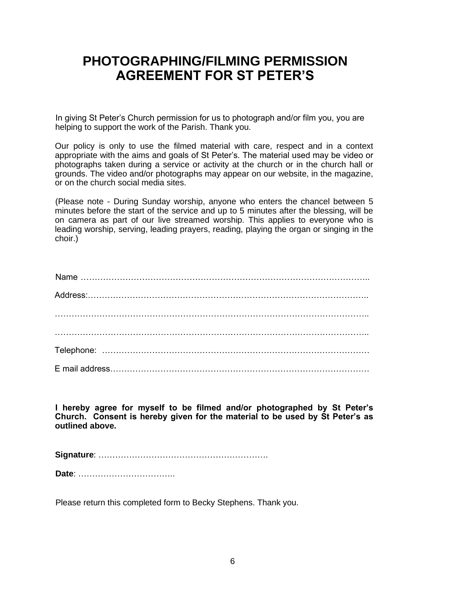# **PHOTOGRAPHING/FILMING PERMISSION AGREEMENT FOR ST PETER'S**

In giving St Peter's Church permission for us to photograph and/or film you, you are helping to support the work of the Parish. Thank you.

Our policy is only to use the filmed material with care, respect and in a context appropriate with the aims and goals of St Peter's. The material used may be video or photographs taken during a service or activity at the church or in the church hall or grounds. The video and/or photographs may appear on our website, in the magazine, or on the church social media sites.

(Please note - During Sunday worship, anyone who enters the chancel between 5 minutes before the start of the service and up to 5 minutes after the blessing, will be on camera as part of our live streamed worship. This applies to everyone who is leading worship, serving, leading prayers, reading, playing the organ or singing in the choir.)

**I hereby agree for myself to be filmed and/or photographed by St Peter's Church. Consent is hereby given for the material to be used by St Peter's as outlined above.** 

**Signature**: …………………………………………………….

**Date**: ……………………………..

Please return this completed form to Becky Stephens. Thank you.